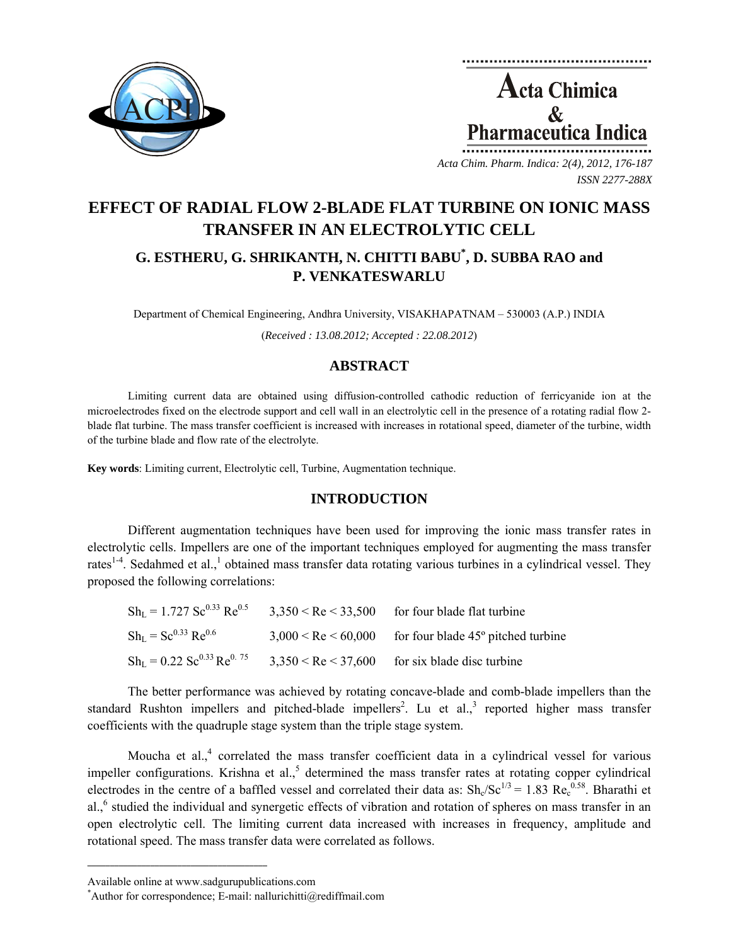



*Acta Chim. Pharm. Indica: 2(4), 2012, 176-187 ISSN 2277-288X*

# **EFFECT OF RADIAL FLOW 2-BLADE FLAT TURBINE ON IONIC MASS TRANSFER IN AN ELECTROLYTIC CELL**

## **G. ESTHERU, G. SHRIKANTH, N. CHITTI BABU\* , D. SUBBA RAO and P. VENKATESWARLU**

Department of Chemical Engineering, Andhra University, VISAKHAPATNAM – 530003 (A.P.) INDIA

(*Received : 13.08.2012; Accepted : 22.08.2012*)

## **ABSTRACT**

Limiting current data are obtained using diffusion-controlled cathodic reduction of ferricyanide ion at the microelectrodes fixed on the electrode support and cell wall in an electrolytic cell in the presence of a rotating radial flow 2 blade flat turbine. The mass transfer coefficient is increased with increases in rotational speed, diameter of the turbine, width of the turbine blade and flow rate of the electrolyte.

**Key words**: Limiting current, Electrolytic cell, Turbine, Augmentation technique.

## **INTRODUCTION**

Different augmentation techniques have been used for improving the ionic mass transfer rates in electrolytic cells. Impellers are one of the important techniques employed for augmenting the mass transfer rates<sup>1-4</sup>. Sedahmed et al.,<sup>1</sup> obtained mass transfer data rotating various turbines in a cylindrical vessel. They proposed the following correlations:

| $ShL = 1.727 Sc0.33 Re0.5$                          | $3,350 <$ Re $< 33,500$   | for four blade flat turbine                      |
|-----------------------------------------------------|---------------------------|--------------------------------------------------|
| $Sh_{L} = Sc^{0.33}Re^{0.6}$                        | $3,000 <$ Re $\le 60,000$ | for four blade 45 <sup>°</sup> pitched turbine   |
| $Sh_L = 0.22$ Sc <sup>0.33</sup> Re <sup>0.75</sup> |                           | $3,350 < Re < 37,600$ for six blade disc turbine |

The better performance was achieved by rotating concave-blade and comb-blade impellers than the standard Rushton impellers and pitched-blade impellers<sup>2</sup>. Lu et al.,<sup>3</sup> reported higher mass transfer coefficients with the quadruple stage system than the triple stage system.

Moucha et al., $4$  correlated the mass transfer coefficient data in a cylindrical vessel for various impeller configurations. Krishna et al., $<sup>5</sup>$  determined the mass transfer rates at rotating copper cylindrical</sup> electrodes in the centre of a baffled vessel and correlated their data as:  $\text{Sh}_{\alpha}/\text{Sc}^{1/3} = 1.83 \text{ Re}_{c}^{0.58}$ . Bharathi et al.,<sup>6</sup> studied the individual and synergetic effects of vibration and rotation of spheres on mass transfer in an open electrolytic cell. The limiting current data increased with increases in frequency, amplitude and rotational speed. The mass transfer data were correlated as follows.

**\_\_\_\_\_\_\_\_\_\_\_\_\_\_\_\_\_\_\_\_\_\_\_\_\_\_\_\_\_\_\_\_\_\_\_\_\_\_\_\_**

Available online at www.sadgurupublications.com \*

<sup>\*</sup>Author for correspondence; E-mail: nallurichitti@rediffmail.com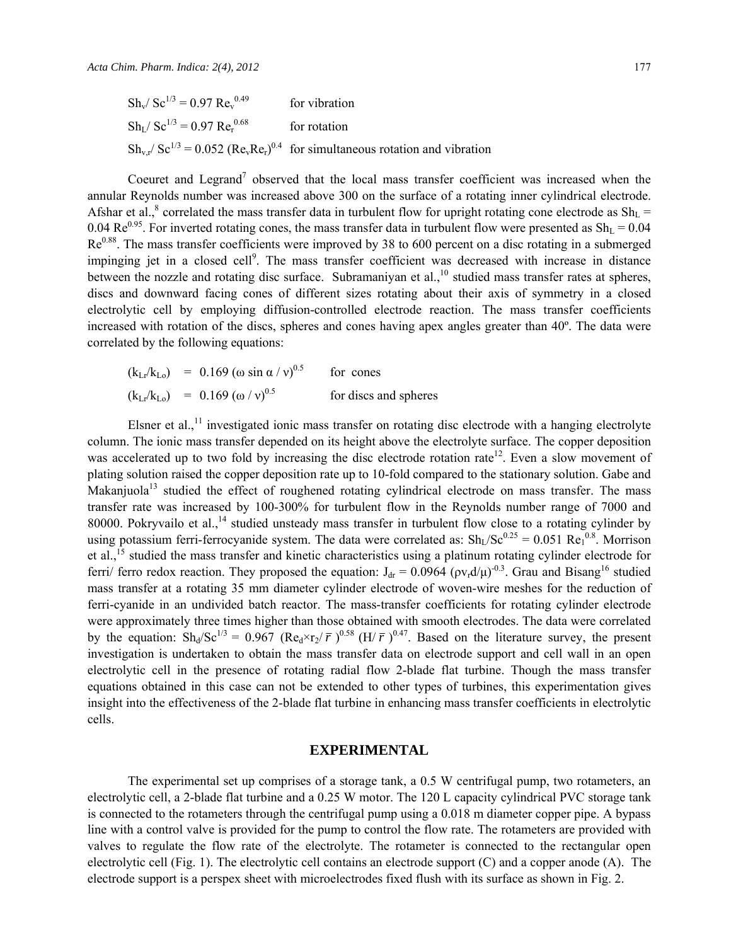Coeuret and Legrand<sup>7</sup> observed that the local mass transfer coefficient was increased when the annular Reynolds number was increased above 300 on the surface of a rotating inner cylindrical electrode. Afshar et al.,<sup>8</sup> correlated the mass transfer data in turbulent flow for upright rotating cone electrode as  $Sh<sub>L</sub>$  = 0.04  $\text{Re}^{0.95}$ . For inverted rotating cones, the mass transfer data in turbulent flow were presented as  $\text{Sh}_{\text{L}} = 0.04$  $Re<sup>0.88</sup>$ . The mass transfer coefficients were improved by 38 to 600 percent on a disc rotating in a submerged impinging jet in a closed cell<sup>9</sup>. The mass transfer coefficient was decreased with increase in distance between the nozzle and rotating disc surface. Subramaniyan et al.,  $^{10}$  studied mass transfer rates at spheres, discs and downward facing cones of different sizes rotating about their axis of symmetry in a closed electrolytic cell by employing diffusion-controlled electrode reaction. The mass transfer coefficients increased with rotation of the discs, spheres and cones having apex angles greater than 40º. The data were correlated by the following equations:

$$
(k_{Lr}/k_{Lo}) = 0.169 (\omega \sin \alpha / v)^{0.5}
$$
 for cones  
\n $(k_{Lr}/k_{Lo}) = 0.169 (\omega / v)^{0.5}$  for discs and spheres

Elsner et al.,<sup>11</sup> investigated ionic mass transfer on rotating disc electrode with a hanging electrolyte column. The ionic mass transfer depended on its height above the electrolyte surface. The copper deposition was accelerated up to two fold by increasing the disc electrode rotation rate<sup>12</sup>. Even a slow movement of plating solution raised the copper deposition rate up to 10-fold compared to the stationary solution. Gabe and Makanjuola<sup>13</sup> studied the effect of roughened rotating cylindrical electrode on mass transfer. The mass transfer rate was increased by 100-300% for turbulent flow in the Reynolds number range of 7000 and 80000. Pokryvailo et al., <sup>14</sup> studied unsteady mass transfer in turbulent flow close to a rotating cylinder by using potassium ferri-ferrocyanide system. The data were correlated as:  $\text{Sh}_{L}/\text{Sc}^{0.25} = 0.051 \text{ Re}_{1}^{0.8}$ . Morrison et al.,<sup>15</sup> studied the mass transfer and kinetic characteristics using a platinum rotating cylinder electrode for ferri/ ferro redox reaction. They proposed the equation:  $J_{dr} = 0.0964$  ( $\rho v_r d/\mu$ )<sup>-0.3</sup>. Grau and Bisang<sup>16</sup> studied mass transfer at a rotating 35 mm diameter cylinder electrode of woven-wire meshes for the reduction of ferri-cyanide in an undivided batch reactor. The mass-transfer coefficients for rotating cylinder electrode were approximately three times higher than those obtained with smooth electrodes. The data were correlated by the equation:  $\text{Sh}_d/\text{Sc}^{1/3} = 0.967 \text{ (Re}_d \times \text{r}_2/\bar{r}^2)^{0.58} \text{ (H/ }\bar{r}^2)^{0.47}$ . Based on the literature survey, the present investigation is undertaken to obtain the mass transfer data on electrode support and cell wall in an open electrolytic cell in the presence of rotating radial flow 2-blade flat turbine. Though the mass transfer equations obtained in this case can not be extended to other types of turbines, this experimentation gives insight into the effectiveness of the 2-blade flat turbine in enhancing mass transfer coefficients in electrolytic cells.

#### **EXPERIMENTAL**

The experimental set up comprises of a storage tank, a 0.5 W centrifugal pump, two rotameters, an electrolytic cell, a 2-blade flat turbine and a 0.25 W motor. The 120 L capacity cylindrical PVC storage tank is connected to the rotameters through the centrifugal pump using a 0.018 m diameter copper pipe. A bypass line with a control valve is provided for the pump to control the flow rate. The rotameters are provided with valves to regulate the flow rate of the electrolyte. The rotameter is connected to the rectangular open electrolytic cell (Fig. 1). The electrolytic cell contains an electrode support (C) and a copper anode (A). The electrode support is a perspex sheet with microelectrodes fixed flush with its surface as shown in Fig. 2.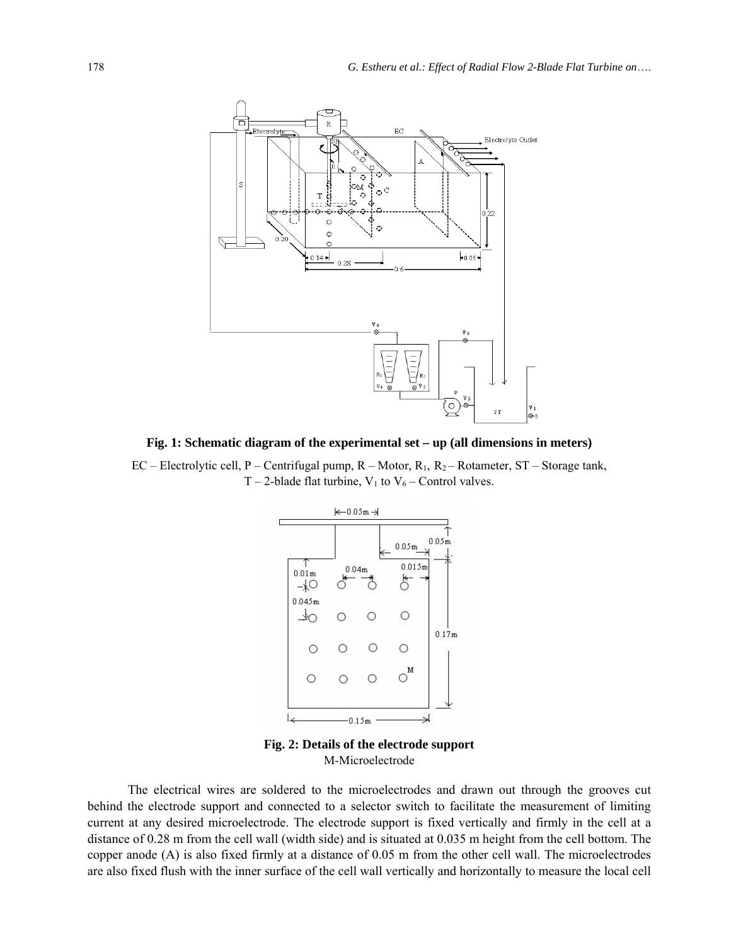

**Fig. 1: Schematic diagram of the experimental set – up (all dimensions in meters)** 

EC – Electrolytic cell, P – Centrifugal pump, R – Motor, R<sub>1</sub>, R<sub>2</sub> – Rotameter, ST – Storage tank, T – 2-blade flat turbine,  $V_1$  to  $V_6$  – Control valves.



**Fig. 2: Details of the electrode support** M-Microelectrode

The electrical wires are soldered to the microelectrodes and drawn out through the grooves cut behind the electrode support and connected to a selector switch to facilitate the measurement of limiting current at any desired microelectrode. The electrode support is fixed vertically and firmly in the cell at a distance of 0.28 m from the cell wall (width side) and is situated at 0.035 m height from the cell bottom. The copper anode (A) is also fixed firmly at a distance of 0.05 m from the other cell wall. The microelectrodes are also fixed flush with the inner surface of the cell wall vertically and horizontally to measure the local cell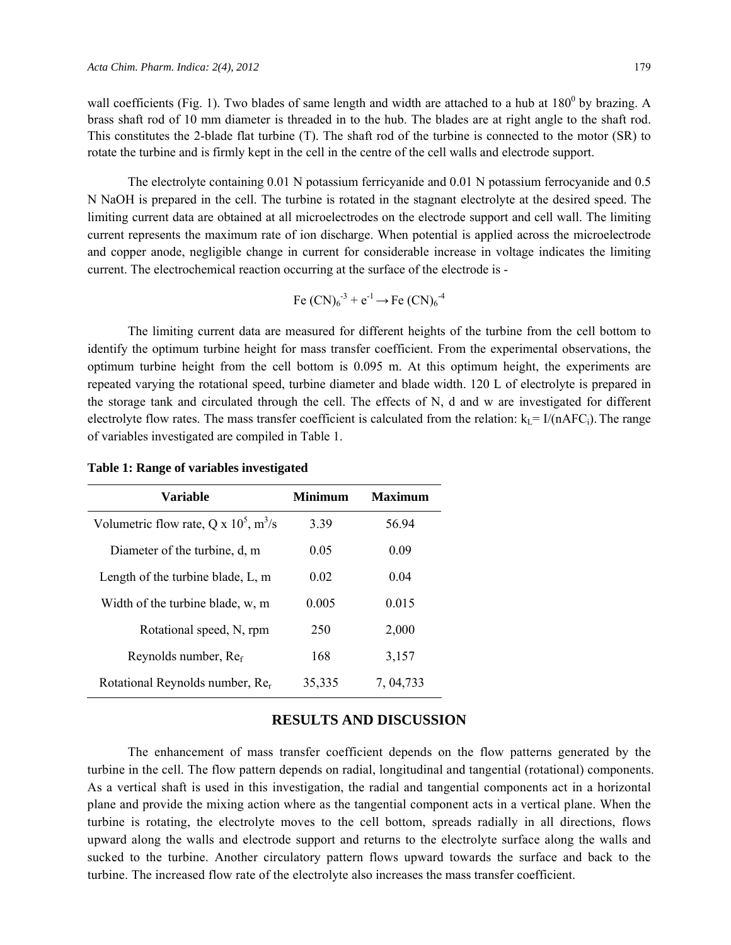wall coefficients (Fig. 1). Two blades of same length and width are attached to a hub at  $180^0$  by brazing. A brass shaft rod of 10 mm diameter is threaded in to the hub. The blades are at right angle to the shaft rod. This constitutes the 2-blade flat turbine (T). The shaft rod of the turbine is connected to the motor (SR) to rotate the turbine and is firmly kept in the cell in the centre of the cell walls and electrode support.

The electrolyte containing 0.01 N potassium ferricyanide and 0.01 N potassium ferrocyanide and 0.5 N NaOH is prepared in the cell. The turbine is rotated in the stagnant electrolyte at the desired speed. The limiting current data are obtained at all microelectrodes on the electrode support and cell wall. The limiting current represents the maximum rate of ion discharge. When potential is applied across the microelectrode and copper anode, negligible change in current for considerable increase in voltage indicates the limiting current. The electrochemical reaction occurring at the surface of the electrode is -

Fe (CN)<sub>6</sub><sup>-3</sup> + e<sup>-1</sup> 
$$
\rightarrow
$$
 Fe (CN)<sub>6</sub><sup>-4</sup>

The limiting current data are measured for different heights of the turbine from the cell bottom to identify the optimum turbine height for mass transfer coefficient. From the experimental observations, the optimum turbine height from the cell bottom is 0.095 m. At this optimum height, the experiments are repeated varying the rotational speed, turbine diameter and blade width. 120 L of electrolyte is prepared in the storage tank and circulated through the cell. The effects of N, d and w are investigated for different electrolyte flow rates. The mass transfer coefficient is calculated from the relation:  $k_L = I/(nAFC_i)$ . The range of variables investigated are compiled in Table 1.

| Variable                                             | <b>Minimum</b> | <b>Maximum</b> |
|------------------------------------------------------|----------------|----------------|
| Volumetric flow rate, Q x $10^5$ , m <sup>3</sup> /s | 3.39           | 56.94          |
| Diameter of the turbine, d, m                        | 0.05           | 0.09           |
| Length of the turbine blade, $L$ , m                 | 0.02           | 0.04           |
| Width of the turbine blade, w, m                     | 0.005          | 0.015          |
| Rotational speed, N, rpm                             | 250            | 2,000          |
| Reynolds number, Ref                                 | 168            | 3,157          |
| Rotational Reynolds number, Rer                      | 35,335         | 7, 04, 733     |

**Table 1: Range of variables investigated** 

#### **RESULTS AND DISCUSSION**

The enhancement of mass transfer coefficient depends on the flow patterns generated by the turbine in the cell. The flow pattern depends on radial, longitudinal and tangential (rotational) components. As a vertical shaft is used in this investigation, the radial and tangential components act in a horizontal plane and provide the mixing action where as the tangential component acts in a vertical plane. When the turbine is rotating, the electrolyte moves to the cell bottom, spreads radially in all directions, flows upward along the walls and electrode support and returns to the electrolyte surface along the walls and sucked to the turbine. Another circulatory pattern flows upward towards the surface and back to the turbine. The increased flow rate of the electrolyte also increases the mass transfer coefficient.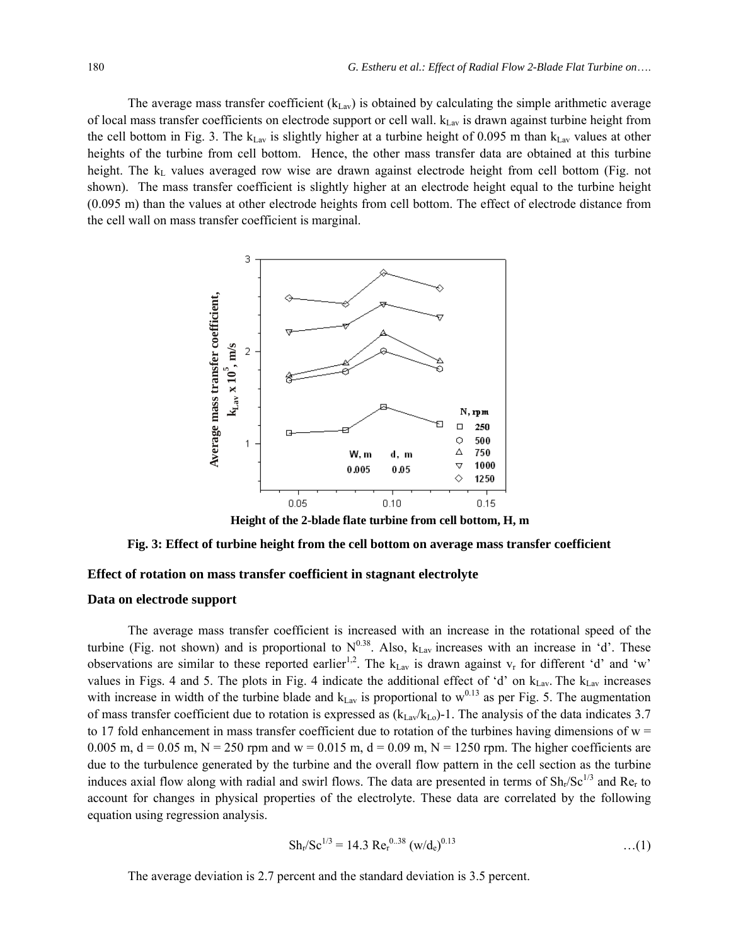The average mass transfer coefficient  $(k_{\text{Lav}})$  is obtained by calculating the simple arithmetic average of local mass transfer coefficients on electrode support or cell wall.  $k_{\text{Lav}}$  is drawn against turbine height from the cell bottom in Fig. 3. The  $k_{\text{Lav}}$  is slightly higher at a turbine height of 0.095 m than  $k_{\text{Lav}}$  values at other heights of the turbine from cell bottom. Hence, the other mass transfer data are obtained at this turbine height. The k<sub>L</sub> values averaged row wise are drawn against electrode height from cell bottom (Fig. not shown). The mass transfer coefficient is slightly higher at an electrode height equal to the turbine height (0.095 m) than the values at other electrode heights from cell bottom. The effect of electrode distance from the cell wall on mass transfer coefficient is marginal.



**Height of the 2-blade flate turbine from cell bottom, H, m**

#### **Fig. 3: Effect of turbine height from the cell bottom on average mass transfer coefficient**

#### **Effect of rotation on mass transfer coefficient in stagnant electrolyte**

#### **Data on electrode support**

The average mass transfer coefficient is increased with an increase in the rotational speed of the turbine (Fig. not shown) and is proportional to  $N^{0.38}$ . Also,  $k_{\text{Lav}}$  increases with an increase in 'd'. These observations are similar to these reported earlier<sup>1,2</sup>. The  $k_{\text{Lav}}$  is drawn against  $v_r$  for different 'd' and 'w' values in Figs. 4 and 5. The plots in Fig. 4 indicate the additional effect of 'd' on  $k_{\text{Lav}}$ . The  $k_{\text{Lav}}$  increases with increase in width of the turbine blade and  $k_{\text{Lav}}$  is proportional to  $w^{0.13}$  as per Fig. 5. The augmentation of mass transfer coefficient due to rotation is expressed as  $(k_{\text{Lav}}/k_{\text{Lo}})-1$ . The analysis of the data indicates 3.7 to 17 fold enhancement in mass transfer coefficient due to rotation of the turbines having dimensions of  $w =$ 0.005 m,  $d = 0.05$  m,  $N = 250$  rpm and  $w = 0.015$  m,  $d = 0.09$  m,  $N = 1250$  rpm. The higher coefficients are due to the turbulence generated by the turbine and the overall flow pattern in the cell section as the turbine induces axial flow along with radial and swirl flows. The data are presented in terms of  $Sh_r/Sc^{1/3}$  and Re<sub>r</sub> to account for changes in physical properties of the electrolyte. These data are correlated by the following equation using regression analysis.

$$
Sh_{r}/Sc^{1/3} = 14.3 \text{ Re}_{r}^{0.38} \left( \text{w}/\text{d}_{e} \right)^{0.13} \tag{1}
$$

The average deviation is 2.7 percent and the standard deviation is 3.5 percent.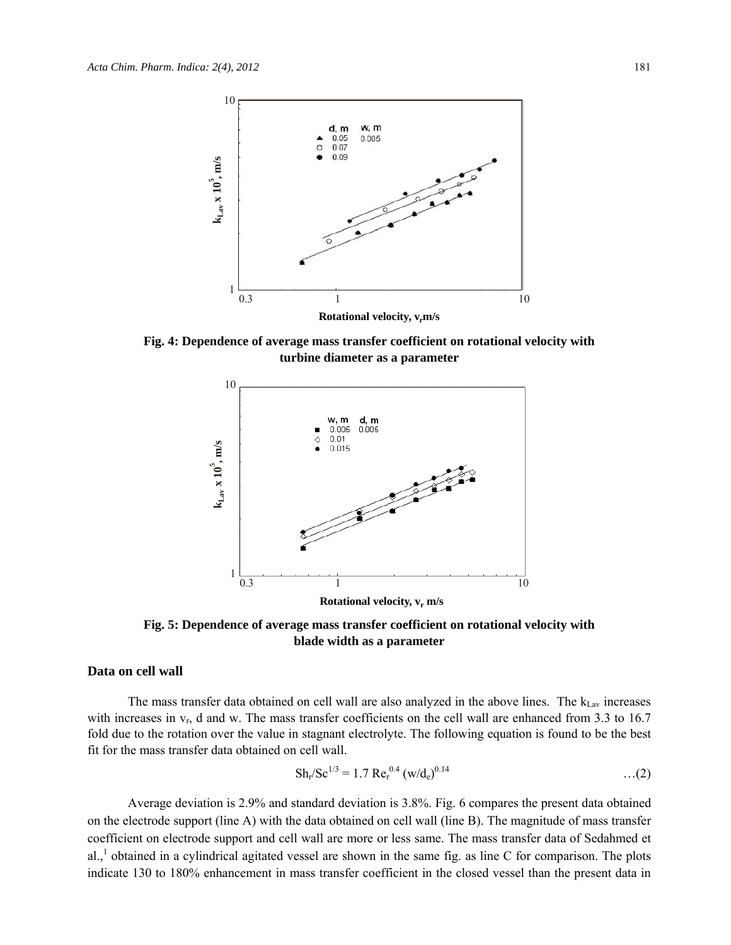

**Fig. 4: Dependence of average mass transfer coefficient on rotational velocity with turbine diameter as a parameter** 



**Fig. 5: Dependence of average mass transfer coefficient on rotational velocity with blade width as a parameter** 

#### **Data on cell wall**

The mass transfer data obtained on cell wall are also analyzed in the above lines. The  $k_{\text{Lav}}$  increases with increases in  $v_r$ , d and w. The mass transfer coefficients on the cell wall are enhanced from 3.3 to 16.7 fold due to the rotation over the value in stagnant electrolyte. The following equation is found to be the best fit for the mass transfer data obtained on cell wall.

$$
Sh_r / Sc^{1/3} = 1.7 \text{ Re}_r^{0.4} (w/d_e)^{0.14} \qquad \qquad \dots (2)
$$

Average deviation is 2.9% and standard deviation is 3.8%. Fig. 6 compares the present data obtained on the electrode support (line A) with the data obtained on cell wall (line B). The magnitude of mass transfer coefficient on electrode support and cell wall are more or less same. The mass transfer data of Sedahmed et al.,<sup>1</sup> obtained in a cylindrical agitated vessel are shown in the same fig. as line C for comparison. The plots indicate 130 to 180% enhancement in mass transfer coefficient in the closed vessel than the present data in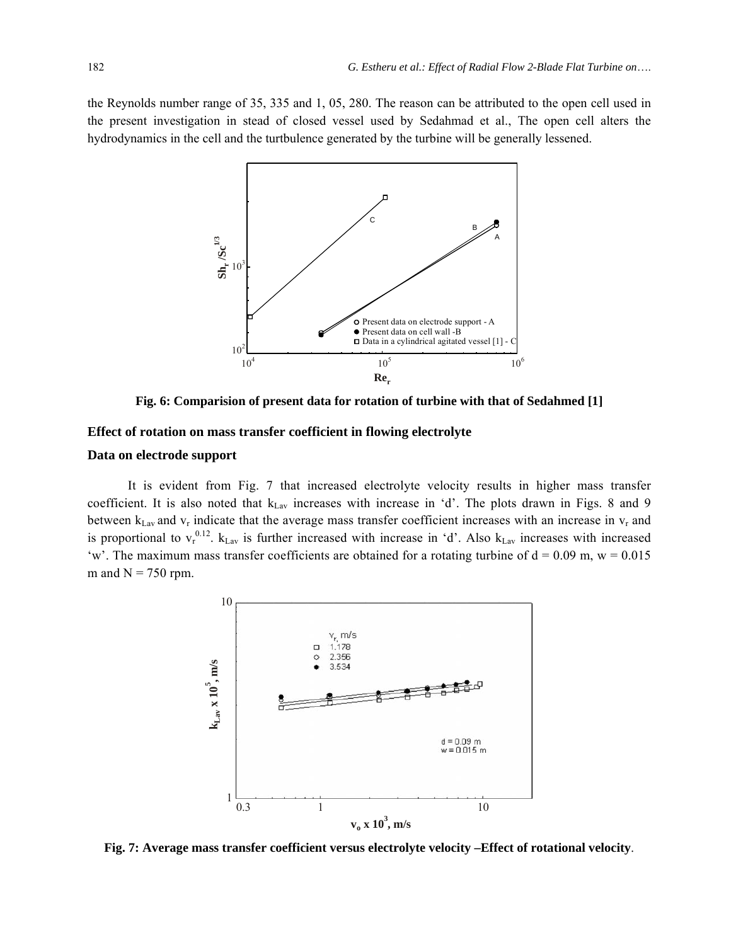the Reynolds number range of 35, 335 and 1, 05, 280. The reason can be attributed to the open cell used in the present investigation in stead of closed vessel used by Sedahmad et al., The open cell alters the hydrodynamics in the cell and the turtbulence generated by the turbine will be generally lessened.



**Fig. 6: Comparision of present data for rotation of turbine with that of Sedahmed [1]** 

#### **Effect of rotation on mass transfer coefficient in flowing electrolyte**

#### **Data on electrode support**

It is evident from Fig. 7 that increased electrolyte velocity results in higher mass transfer coefficient. It is also noted that k<sub>Lav</sub> increases with increase in 'd'. The plots drawn in Figs. 8 and 9 between  $k_{\text{Law}}$  and  $v_r$  indicate that the average mass transfer coefficient increases with an increase in  $v_r$  and is proportional to  $v_r^{0.12}$ .  $k_{\text{Law}}$  is further increased with increase in 'd'. Also  $k_{\text{Law}}$  increases with increased 'w'. The maximum mass transfer coefficients are obtained for a rotating turbine of  $d = 0.09$  m,  $w = 0.015$ m and  $N = 750$  rpm.



**Fig. 7: Average mass transfer coefficient versus electrolyte velocity –Effect of rotational velocity**.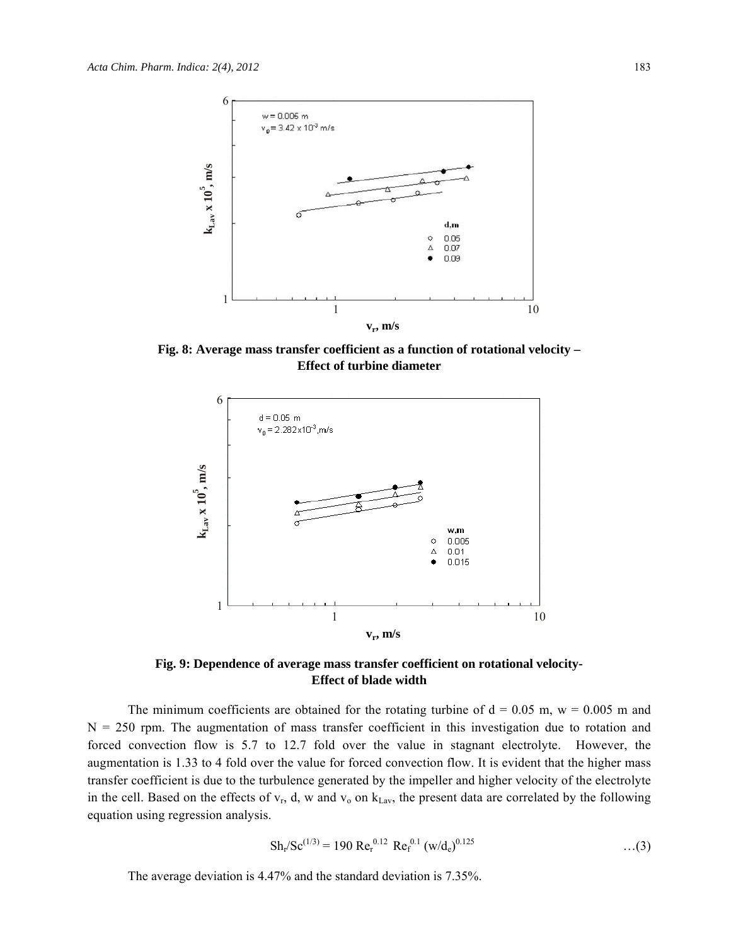

**Fig. 8: Average mass transfer coefficient as a function of rotational velocity – Effect of turbine diameter**



**Fig. 9: Dependence of average mass transfer coefficient on rotational velocity-Effect of blade width**

The minimum coefficients are obtained for the rotating turbine of  $d = 0.05$  m,  $w = 0.005$  m and  $N = 250$  rpm. The augmentation of mass transfer coefficient in this investigation due to rotation and forced convection flow is 5.7 to 12.7 fold over the value in stagnant electrolyte. However, the augmentation is 1.33 to 4 fold over the value for forced convection flow. It is evident that the higher mass transfer coefficient is due to the turbulence generated by the impeller and higher velocity of the electrolyte in the cell. Based on the effects of  $v_r$ , d, w and  $v_0$  on  $k_{\text{Lav}}$ , the present data are correlated by the following equation using regression analysis.

$$
Sh_{r}/Sc^{(1/3)} = 190 \text{ Re}_{r}^{0.12} \text{ Re}_{f}^{0.1} \left( \frac{w}{d_{e}} \right)^{0.125} \tag{3}
$$

The average deviation is 4.47% and the standard deviation is 7.35%.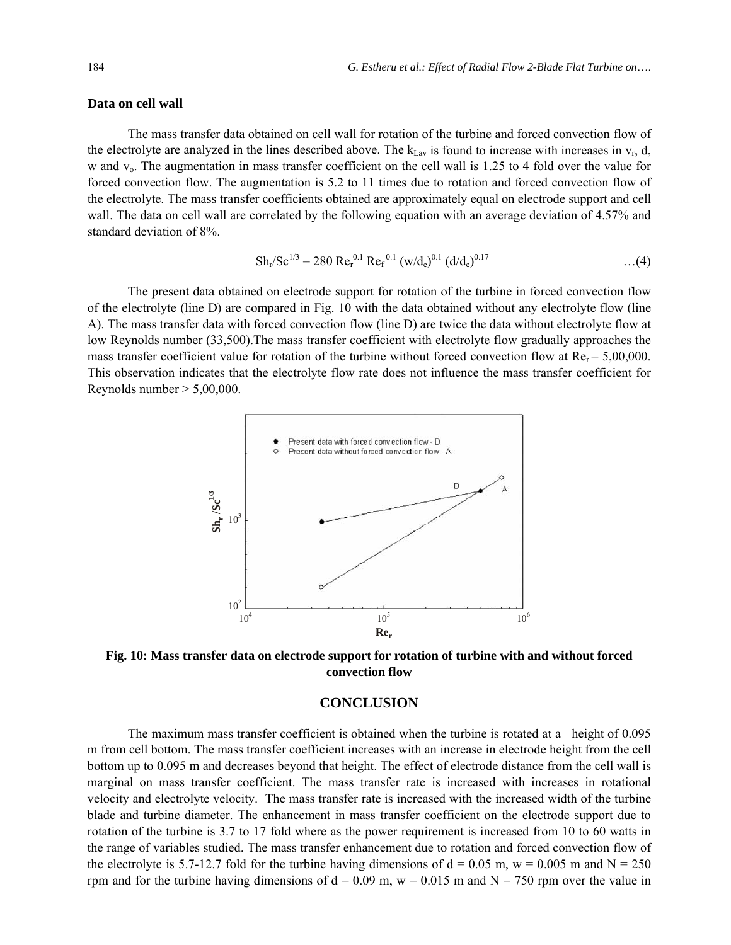#### **Data on cell wall**

The mass transfer data obtained on cell wall for rotation of the turbine and forced convection flow of the electrolyte are analyzed in the lines described above. The  $k_{\text{Lav}}$  is found to increase with increases in  $v_r$ , d, w and v<sub>o</sub>. The augmentation in mass transfer coefficient on the cell wall is 1.25 to 4 fold over the value for forced convection flow. The augmentation is 5.2 to 11 times due to rotation and forced convection flow of the electrolyte. The mass transfer coefficients obtained are approximately equal on electrode support and cell wall. The data on cell wall are correlated by the following equation with an average deviation of 4.57% and standard deviation of 8%.

$$
Sh_{r}/Sc^{1/3} = 280 \text{ Re}_{r}^{0.1} \text{ Re}_{f}^{0.1} \left( \frac{w}{d_{e}} \right)^{0.1} \left( \frac{d}{d_{e}} \right)^{0.17} \tag{4}
$$

The present data obtained on electrode support for rotation of the turbine in forced convection flow of the electrolyte (line D) are compared in Fig. 10 with the data obtained without any electrolyte flow (line A). The mass transfer data with forced convection flow (line D) are twice the data without electrolyte flow at low Reynolds number (33,500). The mass transfer coefficient with electrolyte flow gradually approaches the mass transfer coefficient value for rotation of the turbine without forced convection flow at  $Re<sub>r</sub> = 5,00,000$ . This observation indicates that the electrolyte flow rate does not influence the mass transfer coefficient for Reynolds number  $> 5,00,000$ .



**Fig. 10: Mass transfer data on electrode support for rotation of turbine with and without forced convection flow** 

#### **CONCLUSION**

The maximum mass transfer coefficient is obtained when the turbine is rotated at a height of 0.095 m from cell bottom. The mass transfer coefficient increases with an increase in electrode height from the cell bottom up to 0.095 m and decreases beyond that height. The effect of electrode distance from the cell wall is marginal on mass transfer coefficient. The mass transfer rate is increased with increases in rotational velocity and electrolyte velocity. The mass transfer rate is increased with the increased width of the turbine blade and turbine diameter. The enhancement in mass transfer coefficient on the electrode support due to rotation of the turbine is 3.7 to 17 fold where as the power requirement is increased from 10 to 60 watts in the range of variables studied. The mass transfer enhancement due to rotation and forced convection flow of the electrolyte is 5.7-12.7 fold for the turbine having dimensions of  $d = 0.05$  m,  $w = 0.005$  m and  $N = 250$ rpm and for the turbine having dimensions of  $d = 0.09$  m,  $w = 0.015$  m and  $N = 750$  rpm over the value in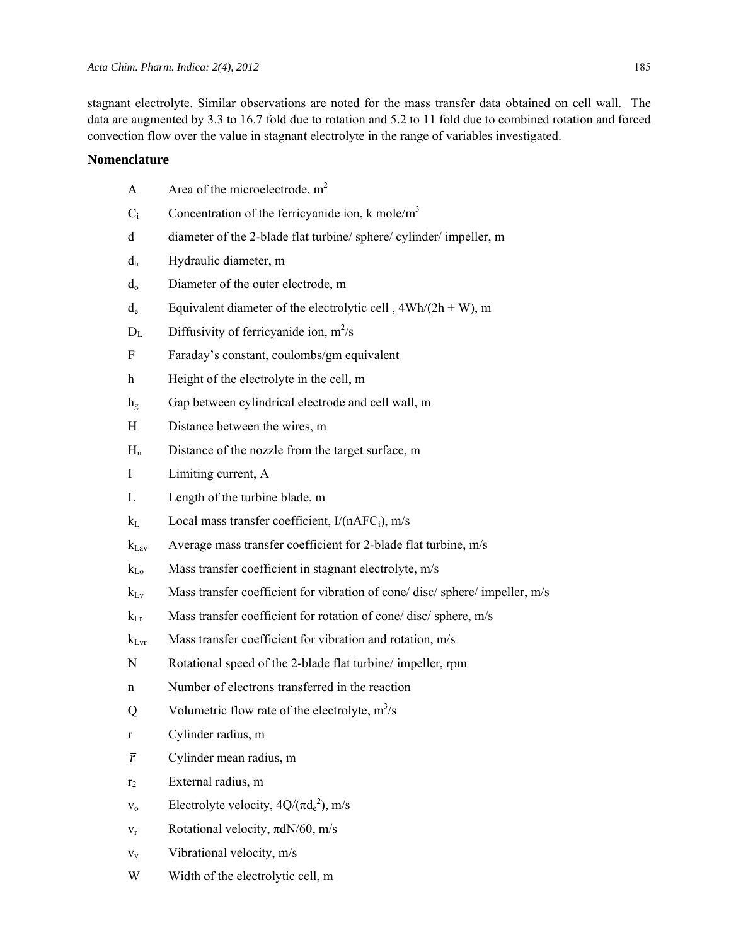stagnant electrolyte. Similar observations are noted for the mass transfer data obtained on cell wall. The data are augmented by 3.3 to 16.7 fold due to rotation and 5.2 to 11 fold due to combined rotation and forced convection flow over the value in stagnant electrolyte in the range of variables investigated.

### **Nomenclature**

- A Area of the microelectrode,  $m<sup>2</sup>$
- $C_i$  Concentration of the ferricyanide ion, k mole/m<sup>3</sup>
- d diameter of the 2-blade flat turbine/ sphere/ cylinder/ impeller, m
- dh Hydraulic diameter, m
- do Diameter of the outer electrode, m
- $d_e$  Equivalent diameter of the electrolytic cell,  $4Wh/(2h+W)$ , m
- $D_L$  Diffusivity of ferricyanide ion, m<sup>2</sup>/s
- F Faraday's constant, coulombs/gm equivalent
- h Height of the electrolyte in the cell, m
- h<sub>g</sub> Gap between cylindrical electrode and cell wall, m
- H Distance between the wires, m
- $H_n$  Distance of the nozzle from the target surface, m
- I Limiting current, A
- L Length of the turbine blade, m
- $k_L$  Local mass transfer coefficient,  $I/(nAFC_i)$ , m/s
- $k_{\text{Lav}}$  Average mass transfer coefficient for 2-blade flat turbine, m/s
- $k_{Lo}$  Mass transfer coefficient in stagnant electrolyte, m/s
- $k_{\text{Lv}}$  Mass transfer coefficient for vibration of cone/ disc/ sphere/ impeller, m/s
- $k_{\text{Lr}}$  Mass transfer coefficient for rotation of cone/ disc/ sphere, m/s
- $k_{\text{Lvr}}$  Mass transfer coefficient for vibration and rotation, m/s
- N Rotational speed of the 2-blade flat turbine/ impeller, rpm
- n Number of electrons transferred in the reaction
- Q Volumetric flow rate of the electrolyte,  $m^3/s$
- r Cylinder radius, m
- *r* Cylinder mean radius, m
- r2 External radius, m
- $v_0$  Electrolyte velocity,  $4Q/(\pi d_e^2)$ , m/s
- $v_r$  Rotational velocity,  $\pi dN/60$ , m/s
- $v_v$  Vibrational velocity, m/s
- W Width of the electrolytic cell, m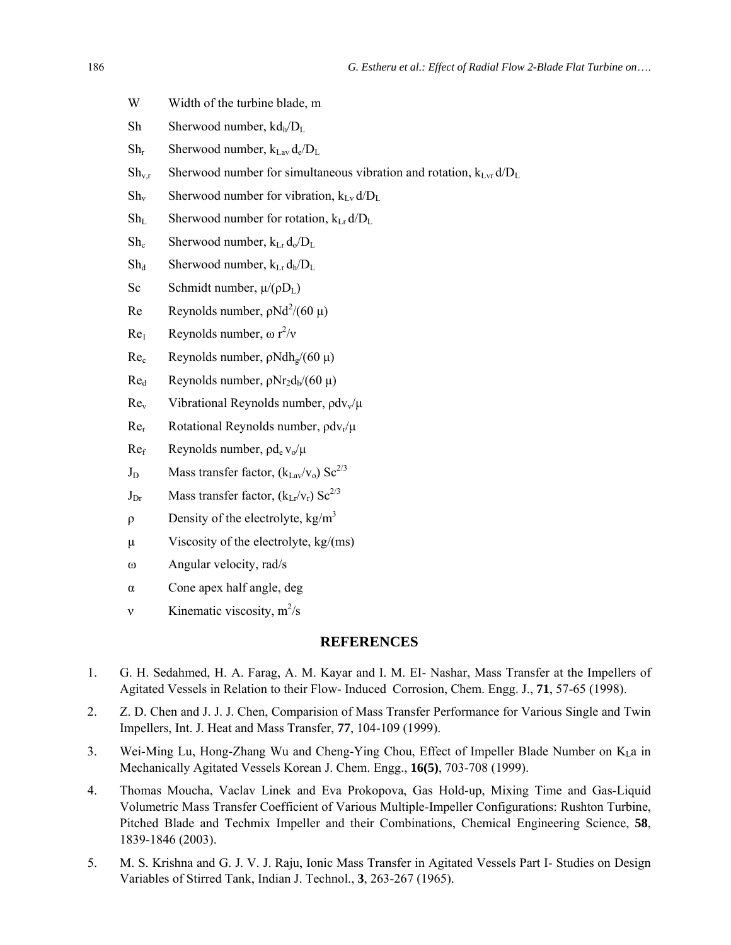- W Width of the turbine blade, m
- Sh Sherwood number,  $k d_h/D_L$
- $Sh_r$  Sherwood number,  $k_{\text{Law}} d_e/D_L$
- $Sh_{v,r}$  Sherwood number for simultaneous vibration and rotation,  $k_{Lvr} d/D_L$
- $Sh_v$  Sherwood number for vibration,  $k_{Lv} d/D_l$
- $Sh_L$  Sherwood number for rotation,  $k_{Lr} d/D_{L}$
- $Sh_c$  Sherwood number,  $k_{Lr} d_0/D_L$
- $Sh_d$  Sherwood number,  $k_{Lr} d_h/D_{L}$
- Sc Schmidt number,  $\mu/(\rho D_L)$
- Re Reynolds number,  $\rho N d^2 / (60 \mu)$
- Re<sub>1</sub> Reynolds number,  $\omega r^2/v$
- Re<sub>c</sub> Reynolds number,  $\rho Ndh_{\varrho}/(60 \mu)$
- Red Reynolds number,  $\rho$ Nr<sub>2</sub>d<sub>h</sub>/(60 μ)
- Rev Vibrational Reynolds number,  $\frac{\partial dv}{\partial \mu}$
- $Re<sub>r</sub>$  Rotational Reynolds number,  $\rho dv_r/\mu$
- $Re<sub>f</sub>$  Reynolds number,  $\rho d_e v_o/\mu$
- $J_D$  Mass transfer factor,  $(k_{Lav}/v_0)$  Sc<sup>2/3</sup>
- $J_{Dr}$  Mass transfer factor,  $(k_{Lr}/v_r)$  Sc<sup>2/3</sup>
- $ρ$  Density of the electrolyte, kg/m<sup>3</sup>
- μ Viscosity of the electrolyte,  $kg/(ms)$
- ω Angular velocity, rad/s
- α Cone apex half angle, deg
- v Kinematic viscosity,  $m^2/s$

#### **REFERENCES**

- 1. G. H. Sedahmed, H. A. Farag, A. M. Kayar and I. M. EI- Nashar, Mass Transfer at the Impellers of Agitated Vessels in Relation to their Flow- Induced Corrosion, Chem. Engg. J., **71**, 57-65 (1998).
- 2. Z. D. Chen and J. J. J. Chen, Comparision of Mass Transfer Performance for Various Single and Twin Impellers, Int. J. Heat and Mass Transfer, **77**, 104-109 (1999).
- 3. Wei-Ming Lu, Hong-Zhang Wu and Cheng-Ying Chou, Effect of Impeller Blade Number on  $K_1$ a in Mechanically Agitated Vessels Korean J. Chem. Engg., **16(5)**, 703-708 (1999).
- 4. Thomas Moucha, Vaclav Linek and Eva Prokopova, Gas Hold-up, Mixing Time and Gas-Liquid Volumetric Mass Transfer Coefficient of Various Multiple-Impeller Configurations: Rushton Turbine, Pitched Blade and Techmix Impeller and their Combinations, Chemical Engineering Science, **58**, 1839-1846 (2003).
- 5. M. S. Krishna and G. J. V. J. Raju, Ionic Mass Transfer in Agitated Vessels Part I- Studies on Design Variables of Stirred Tank, Indian J. Technol., **3**, 263-267 (1965).